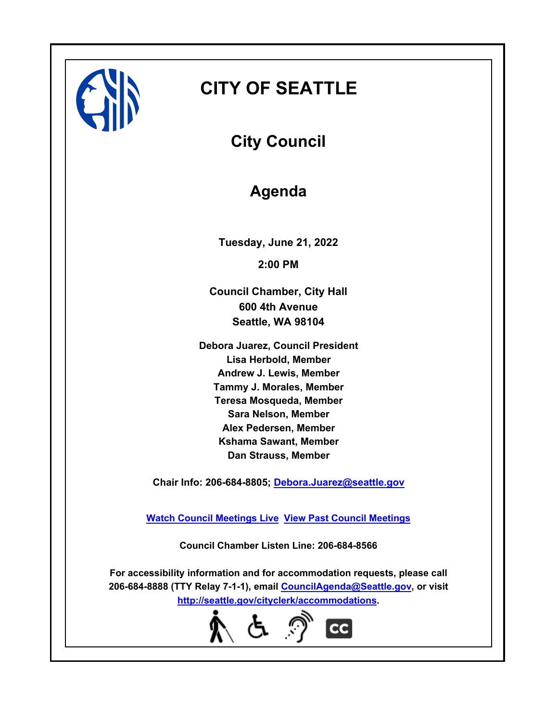

# **CITY OF SEATTLE**

**City Council**

## **Agenda**

**Tuesday, June 21, 2022 2:00 PM**

**Council Chamber, City Hall 600 4th Avenue Seattle, WA 98104**

**Debora Juarez, Council President Lisa Herbold, Member Andrew J. Lewis, Member Tammy J. Morales, Member Teresa Mosqueda, Member Sara Nelson, Member Alex Pedersen, Member Kshama Sawant, Member Dan Strauss, Member**

**Chair Info: 206-684-8805; [Debora.Juarez@seattle.gov](mailto:Debora.Juarez@seattle.gov)**

**[Watch Council Meetings Live](http://www.seattle.gov/council/councillive.htm) [View Past Council Meetings](http://www.seattlechannel.org/videos/browseVideos.asp?topic=council)**

**Council Chamber Listen Line: 206-684-8566**

**For accessibility information and for accommodation requests, please call 206-684-8888 (TTY Relay 7-1-1), email [CouncilAgenda@Seattle.gov](mailto: CouncilAgenda@Seattle.gov), or visit <http://seattle.gov/cityclerk/accommodations>.**

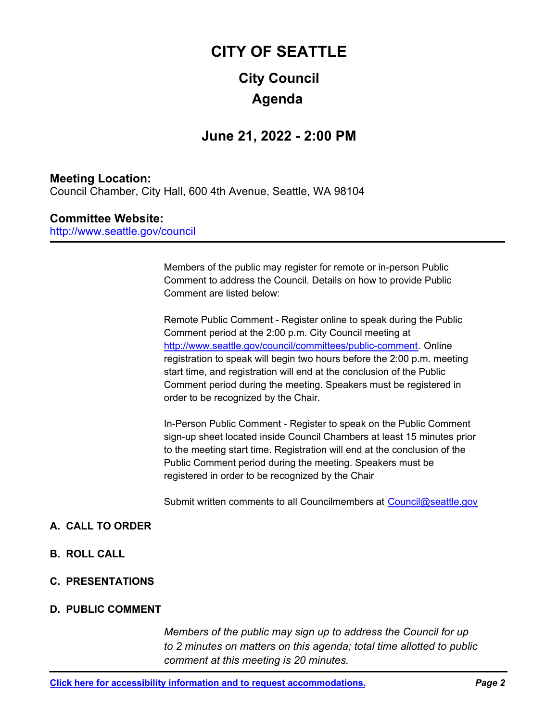# **City Council CITY OF SEATTLE Agenda**

## **June 21, 2022 - 2:00 PM**

## **Meeting Location:**

Council Chamber, City Hall, 600 4th Avenue, Seattle, WA 98104

## **Committee Website:**

http://www.seattle.gov/council

Members of the public may register for remote or in-person Public Comment to address the Council. Details on how to provide Public Comment are listed below:

Remote Public Comment - Register online to speak during the Public Comment period at the 2:00 p.m. City Council meeting at http://www.seattle.gov/council/committees/public-comment. Online registration to speak will begin two hours before the 2:00 p.m. meeting start time, and registration will end at the conclusion of the Public Comment period during the meeting. Speakers must be registered in order to be recognized by the Chair.

In-Person Public Comment - Register to speak on the Public Comment sign-up sheet located inside Council Chambers at least 15 minutes prior to the meeting start time. Registration will end at the conclusion of the Public Comment period during the meeting. Speakers must be registered in order to be recognized by the Chair

Submit written comments to all Councilmembers at Council@seattle.gov

## **A. CALL TO ORDER**

- **B. ROLL CALL**
- **C. PRESENTATIONS**

### **D. PUBLIC COMMENT**

*Members of the public may sign up to address the Council for up to 2 minutes on matters on this agenda; total time allotted to public comment at this meeting is 20 minutes.*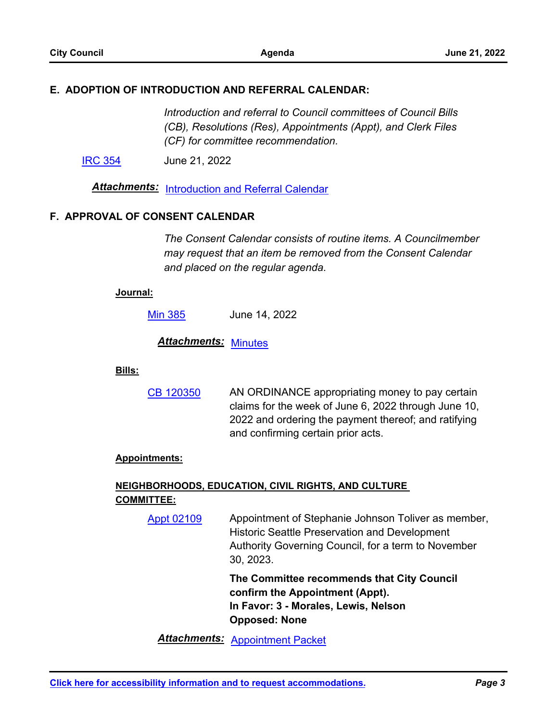### **E. ADOPTION OF INTRODUCTION AND REFERRAL CALENDAR:**

*Introduction and referral to Council committees of Council Bills (CB), Resolutions (Res), Appointments (Appt), and Clerk Files (CF) for committee recommendation.*

[IRC 354](http://seattle.legistar.com/gateway.aspx?m=l&id=/matter.aspx?key=13077) June 21, 2022

*Attachments:* [Introduction and Referral Calendar](http://seattle.legistar.com/gateway.aspx?M=F&ID=73b9bfdf-1e81-4020-80c9-282ae73dd79e.pdf)

#### **F. APPROVAL OF CONSENT CALENDAR**

*The Consent Calendar consists of routine items. A Councilmember may request that an item be removed from the Consent Calendar and placed on the regular agenda.*

#### **Journal:**

[Min 385](http://seattle.legistar.com/gateway.aspx?m=l&id=/matter.aspx?key=13073) June 14, 2022

*Attachments:* [Minutes](http://seattle.legistar.com/gateway.aspx?M=F&ID=cbde8940-2b70-4fcb-b976-1f2553447fe0.pdf)

#### **Bills:**

AN ORDINANCE appropriating money to pay certain claims for the week of June 6, 2022 through June 10, 2022 and ordering the payment thereof; and ratifying and confirming certain prior acts. [CB 120350](http://seattle.legistar.com/gateway.aspx?m=l&id=/matter.aspx?key=13071)

#### **Appointments:**

## **NEIGHBORHOODS, EDUCATION, CIVIL RIGHTS, AND CULTURE COMMITTEE:**

Appointment of Stephanie Johnson Toliver as member, Historic Seattle Preservation and Development Authority Governing Council, for a term to November 30, 2023. [Appt 02109](http://seattle.legistar.com/gateway.aspx?m=l&id=/matter.aspx?key=12507)

> **The Committee recommends that City Council confirm the Appointment (Appt). In Favor: 3 - Morales, Lewis, Nelson Opposed: None**

*Attachments:* [Appointment Packet](http://seattle.legistar.com/gateway.aspx?M=F&ID=06ad66f2-8bd0-4d93-9ed1-59b803f3cc49.pdf)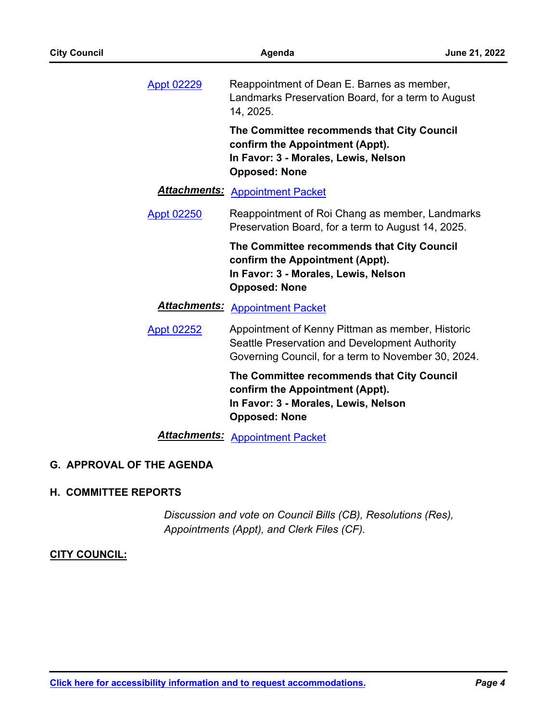Reappointment of Dean E. Barnes as member, Landmarks Preservation Board, for a term to August 14, 2025. [Appt 02229](http://seattle.legistar.com/gateway.aspx?m=l&id=/matter.aspx?key=12928)

**The Committee recommends that City Council confirm the Appointment (Appt). In Favor: 3 - Morales, Lewis, Nelson Opposed: None**

## *Attachments:* [Appointment Packet](http://seattle.legistar.com/gateway.aspx?M=F&ID=222b113b-2b09-43cd-81bb-098a75f4caac.pdf)

#### Reappointment of Roi Chang as member, Landmarks Preservation Board, for a term to August 14, 2025. [Appt 02250](http://seattle.legistar.com/gateway.aspx?m=l&id=/matter.aspx?key=12929)

**The Committee recommends that City Council confirm the Appointment (Appt). In Favor: 3 - Morales, Lewis, Nelson Opposed: None**

## *Attachments:* [Appointment Packet](http://seattle.legistar.com/gateway.aspx?M=F&ID=0da68b56-a128-4304-bd27-419afa428715.pdf)

Appointment of Kenny Pittman as member, Historic Seattle Preservation and Development Authority Governing Council, for a term to November 30, 2024. [Appt 02252](http://seattle.legistar.com/gateway.aspx?m=l&id=/matter.aspx?key=12931)

> **The Committee recommends that City Council confirm the Appointment (Appt). In Favor: 3 - Morales, Lewis, Nelson Opposed: None**

*Attachments:* [Appointment Packet](http://seattle.legistar.com/gateway.aspx?M=F&ID=f32a3bc6-2cd6-4930-ae42-6f88ed2fa5a3.pdf)

### **G. APPROVAL OF THE AGENDA**

### **H. COMMITTEE REPORTS**

*Discussion and vote on Council Bills (CB), Resolutions (Res), Appointments (Appt), and Clerk Files (CF).*

### **CITY COUNCIL:**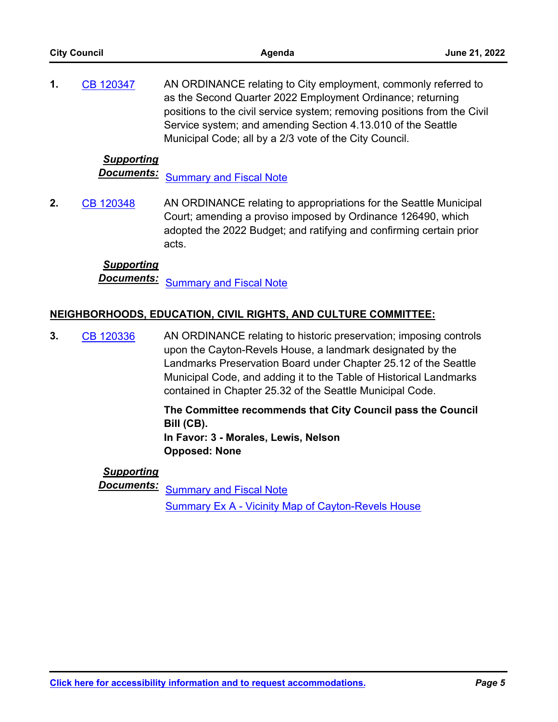| <b>City Council</b> |                   | Agenda                                                                                                                                                                                                                                                                                                                             | June 21, 2022 |
|---------------------|-------------------|------------------------------------------------------------------------------------------------------------------------------------------------------------------------------------------------------------------------------------------------------------------------------------------------------------------------------------|---------------|
| 1.                  | CB 120347         | AN ORDINANCE relating to City employment, commonly referred to<br>as the Second Quarter 2022 Employment Ordinance; returning<br>positions to the civil service system; removing positions from the Civil<br>Service system; and amending Section 4.13.010 of the Seattle<br>Municipal Code; all by a 2/3 vote of the City Council. |               |
|                     | <b>Supporting</b> |                                                                                                                                                                                                                                                                                                                                    |               |
|                     | <u>Documents:</u> | <b>Summary and Fiscal Note</b>                                                                                                                                                                                                                                                                                                     |               |
| 2.                  | CB 120348         | AN ORDINANCE relating to appropriations for the Seattle Municipal<br>Court; amending a proviso imposed by Ordinance 126490, which<br>adopted the 2022 Budget; and ratifying and confirming certain prior<br>acts.                                                                                                                  |               |
|                     | <b>Supporting</b> |                                                                                                                                                                                                                                                                                                                                    |               |
|                     | <u>Documents:</u> | <b>Summary and Fiscal Note</b>                                                                                                                                                                                                                                                                                                     |               |
|                     |                   | NEIGHBORHOODS, EDUCATION, CIVIL RIGHTS, AND CULTURE COMMITTEE:                                                                                                                                                                                                                                                                     |               |
| 3.                  | CB 120336         | AN ORDINANCE relating to historic preservation; imposing controls<br>upen the Couten Dougle House a lendmark deciancted by the                                                                                                                                                                                                     |               |

upon the Cayton-Revels House, a landmark designated by the Landmarks Preservation Board under Chapter 25.12 of the Seattle Municipal Code, and adding it to the Table of Historical Landmarks contained in Chapter 25.32 of the Seattle Municipal Code.

> **The Committee recommends that City Council pass the Council Bill (CB). In Favor: 3 - Morales, Lewis, Nelson Opposed: None**

## *Supporting*

**Documents:** [Summary and Fiscal Note](http://seattle.legistar.com/gateway.aspx?M=F&ID=f110da1d-67d3-40c2-869f-dd6fb33b58e2.docx) [Summary Ex A - Vicinity Map of Cayton-Revels House](http://seattle.legistar.com/gateway.aspx?M=F&ID=d2c1954a-f643-4454-b133-d122ab315384.docx)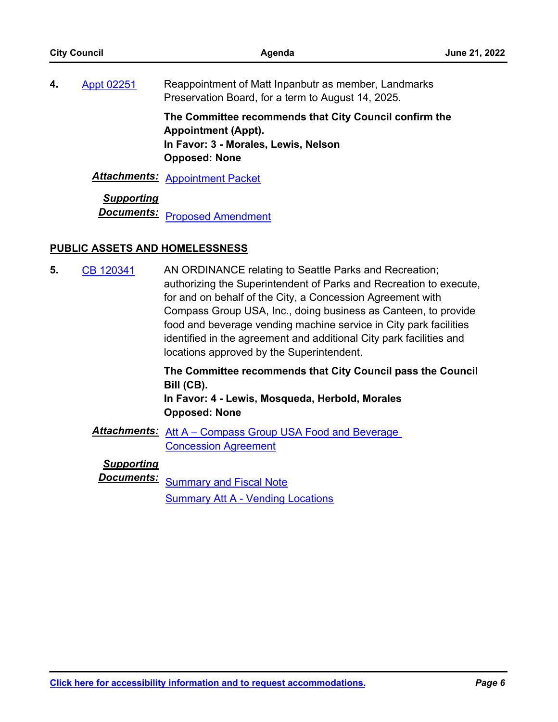| <b>City Council</b> |                                        | Agenda                                                                                                                                                                                                                                                                                                                                                                                                                                                | June 21, 2022 |
|---------------------|----------------------------------------|-------------------------------------------------------------------------------------------------------------------------------------------------------------------------------------------------------------------------------------------------------------------------------------------------------------------------------------------------------------------------------------------------------------------------------------------------------|---------------|
| 4.                  | Appt 02251                             | Reappointment of Matt Inpanbutr as member, Landmarks<br>Preservation Board, for a term to August 14, 2025.                                                                                                                                                                                                                                                                                                                                            |               |
|                     |                                        | The Committee recommends that City Council confirm the<br><b>Appointment (Appt).</b><br>In Favor: 3 - Morales, Lewis, Nelson<br><b>Opposed: None</b>                                                                                                                                                                                                                                                                                                  |               |
|                     | <u> Attachments:</u>                   | <b>Appointment Packet</b>                                                                                                                                                                                                                                                                                                                                                                                                                             |               |
|                     | <b>Supporting</b><br><u>Documents:</u> | <b>Proposed Amendment</b>                                                                                                                                                                                                                                                                                                                                                                                                                             |               |
|                     | <b>PUBLIC ASSETS AND HOMELESSNESS</b>  |                                                                                                                                                                                                                                                                                                                                                                                                                                                       |               |
| 5.                  | CB 120341                              | AN ORDINANCE relating to Seattle Parks and Recreation;<br>authorizing the Superintendent of Parks and Recreation to execute,<br>for and on behalf of the City, a Concession Agreement with<br>Compass Group USA, Inc., doing business as Canteen, to provide<br>food and beverage vending machine service in City park facilities<br>identified in the agreement and additional City park facilities and<br>locations approved by the Superintendent. |               |
|                     |                                        | The Committee recommends that City Council pass the Council<br>Bill (CB).                                                                                                                                                                                                                                                                                                                                                                             |               |

**In Favor: 4 - Lewis, Mosqueda, Herbold, Morales Opposed: None**

*Attachments:* [Att A – Compass Group USA Food and Beverage](http://seattle.legistar.com/gateway.aspx?M=F&ID=488922fe-634d-447d-a4d1-de12839d728c.docx)  Concession Agreement

*Supporting*

**Documents:** [Summary and Fiscal Note](http://seattle.legistar.com/gateway.aspx?M=F&ID=6834eced-bb85-4320-9b45-e30984c99d73.docx) **[Summary Att A - Vending Locations](http://seattle.legistar.com/gateway.aspx?M=F&ID=031ccd2d-a3c6-4d5a-9296-039b91194a1f.docx)**